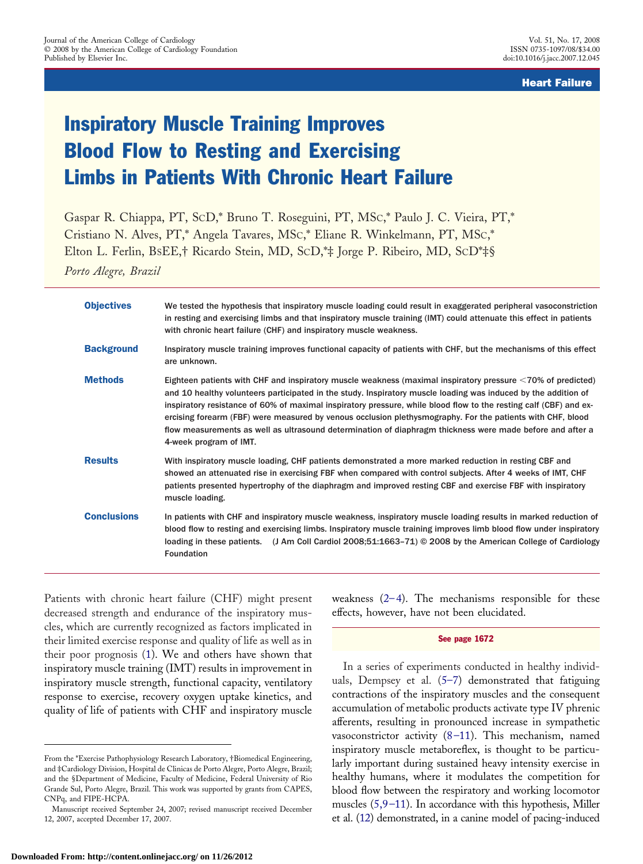Heart Failure

# Inspiratory Muscle Training Improves Blood Flow to Resting and Exercising Limbs in Patients With Chronic Heart Failure

Gaspar R. Chiappa, PT, SCD,\* Bruno T. Roseguini, PT, MSC,\* Paulo J. C. Vieira, PT,\* Cristiano N. Alves, PT,\* Angela Tavares, MSC,\* Eliane R. Winkelmann, PT, MSC,\* Elton L. Ferlin, BSEE,† Ricardo Stein, MD, SCD,\*‡ Jorge P. Ribeiro, MD, SCD\*‡§

*Porto Alegre, Brazil*

| <b>Objectives</b>  | We tested the hypothesis that inspiratory muscle loading could result in exaggerated peripheral vasoconstriction<br>in resting and exercising limbs and that inspiratory muscle training (IMT) could attenuate this effect in patients<br>with chronic heart failure (CHF) and inspiratory muscle weakness.                                                                                                                                                                                                                                                                                             |
|--------------------|---------------------------------------------------------------------------------------------------------------------------------------------------------------------------------------------------------------------------------------------------------------------------------------------------------------------------------------------------------------------------------------------------------------------------------------------------------------------------------------------------------------------------------------------------------------------------------------------------------|
| <b>Background</b>  | Inspiratory muscle training improves functional capacity of patients with CHF, but the mechanisms of this effect<br>are unknown.                                                                                                                                                                                                                                                                                                                                                                                                                                                                        |
| <b>Methods</b>     | Eighteen patients with CHF and inspiratory muscle weakness (maximal inspiratory pressure <70% of predicted)<br>and 10 healthy volunteers participated in the study. Inspiratory muscle loading was induced by the addition of<br>inspiratory resistance of 60% of maximal inspiratory pressure, while blood flow to the resting calf (CBF) and ex-<br>ercising forearm (FBF) were measured by venous occlusion plethysmography. For the patients with CHF, blood<br>flow measurements as well as ultrasound determination of diaphragm thickness were made before and after a<br>4-week program of IMT. |
| <b>Results</b>     | With inspiratory muscle loading, CHF patients demonstrated a more marked reduction in resting CBF and<br>showed an attenuated rise in exercising FBF when compared with control subjects. After 4 weeks of IMT, CHF<br>patients presented hypertrophy of the diaphragm and improved resting CBF and exercise FBF with inspiratory<br>muscle loading.                                                                                                                                                                                                                                                    |
| <b>Conclusions</b> | In patients with CHF and inspiratory muscle weakness, inspiratory muscle loading results in marked reduction of<br>blood flow to resting and exercising limbs. Inspiratory muscle training improves limb blood flow under inspiratory<br>loading in these patients. (J Am Coll Cardiol 2008;51:1663-71) © 2008 by the American College of Cardiology<br><b>Foundation</b>                                                                                                                                                                                                                               |

Patients with chronic heart failure (CHF) might present decreased strength and endurance of the inspiratory muscles, which are currently recognized as factors implicated in their limited exercise response and quality of life as well as in their poor prognosis ([1\)](#page-7-0). We and others have shown that inspiratory muscle training (IMT) results in improvement in inspiratory muscle strength, functional capacity, ventilatory response to exercise, recovery oxygen uptake kinetics, and quality of life of patients with CHF and inspiratory muscle

weakness  $(2-4)$ . The mechanisms responsible for these effects, however, have not been elucidated.

#### See page 1672

In a series of experiments conducted in healthy individuals, Dempsey et al. ([5–7\)](#page-7-0) demonstrated that fatiguing contractions of the inspiratory muscles and the consequent accumulation of metabolic products activate type IV phrenic afferents, resulting in pronounced increase in sympathetic vasoconstrictor activity ([8–11\)](#page-7-0). This mechanism, named inspiratory muscle metaboreflex, is thought to be particularly important during sustained heavy intensity exercise in healthy humans, where it modulates the competition for blood flow between the respiratory and working locomotor muscles [\(5,9–11\)](#page-7-0). In accordance with this hypothesis, Miller et al. [\(12\)](#page-7-0) demonstrated, in a canine model of pacing-induced

From the \*Exercise Pathophysiology Research Laboratory, †Biomedical Engineering, and ‡Cardiology Division, Hospital de Clinicas de Porto Alegre, Porto Alegre, Brazil; and the §Department of Medicine, Faculty of Medicine, Federal University of Rio Grande Sul, Porto Alegre, Brazil. This work was supported by grants from CAPES, CNPq, and FIPE-HCPA.

Manuscript received September 24, 2007; revised manuscript received December 12, 2007, accepted December 17, 2007.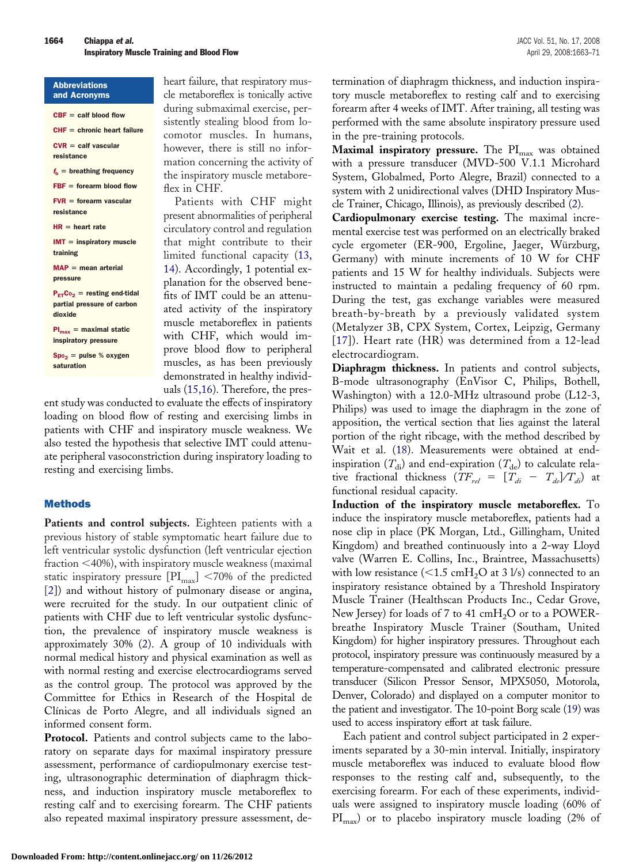| <b>Abbreviations</b> |  |
|----------------------|--|
| and Acronyms         |  |

 $CBF = calf blood flow$  $CHF =$  chronic heart failure

 $CVR = \text{calf}$  vascular

resistance

 $f<sub>b</sub>$  = breathing frequency

 $FBF =$  forearm blood flow

 $FVR =$  forearm vascular resistance

 $HR = heart rate$ 

 $IMT =$  inspiratory muscle training

 $MAP = mean$  arterial pressure

 $P_{ET}Co_2$  = resting end-tidal partial pressure of carbon dioxide

 $Pl_{max}$  = maximal static inspiratory pressure

 $Spo<sub>2</sub> = pulse % oxygen$ saturation

heart failure, that respiratory muscle metaboreflex is tonically active during submaximal exercise, persistently stealing blood from locomotor muscles. In humans, however, there is still no information concerning the activity of the inspiratory muscle metaboreflex in CHF.

Patients with CHF might present abnormalities of peripheral circulatory control and regulation that might contribute to their limited functional capacity [\(13,](#page-7-0) [14\)](#page-7-0). Accordingly, 1 potential explanation for the observed benefits of IMT could be an attenuated activity of the inspiratory muscle metaboreflex in patients with CHF, which would improve blood flow to peripheral muscles, as has been previously demonstrated in healthy individuals ([15,16\)](#page-7-0). Therefore, the pres-

ent study was conducted to evaluate the effects of inspiratory loading on blood flow of resting and exercising limbs in patients with CHF and inspiratory muscle weakness. We also tested the hypothesis that selective IMT could attenuate peripheral vasoconstriction during inspiratory loading to resting and exercising limbs.

### Methods

Patients and control subjects. Eighteen patients with a previous history of stable symptomatic heart failure due to left ventricular systolic dysfunction (left ventricular ejection fraction 40%), with inspiratory muscle weakness (maximal static inspiratory pressure  $[PI_{max}]$  <70% of the predicted [\[2\]](#page-7-0)) and without history of pulmonary disease or angina, were recruited for the study. In our outpatient clinic of patients with CHF due to left ventricular systolic dysfunction, the prevalence of inspiratory muscle weakness is approximately 30% [\(2\)](#page-7-0). A group of 10 individuals with normal medical history and physical examination as well as with normal resting and exercise electrocardiograms served as the control group. The protocol was approved by the Committee for Ethics in Research of the Hospital de Clínicas de Porto Alegre, and all individuals signed an informed consent form.

**Protocol.** Patients and control subjects came to the laboratory on separate days for maximal inspiratory pressure assessment, performance of cardiopulmonary exercise testing, ultrasonographic determination of diaphragm thickness, and induction inspiratory muscle metaboreflex to resting calf and to exercising forearm. The CHF patients also repeated maximal inspiratory pressure assessment, determination of diaphragm thickness, and induction inspiratory muscle metaboreflex to resting calf and to exercising forearm after 4 weeks of IMT. After training, all testing was performed with the same absolute inspiratory pressure used in the pre-training protocols.

Maximal inspiratory pressure. The PI<sub>max</sub> was obtained with a pressure transducer (MVD-500 V.1.1 Microhard System, Globalmed, Porto Alegre, Brazil) connected to a system with 2 unidirectional valves (DHD Inspiratory Muscle Trainer, Chicago, Illinois), as previously described ([2\)](#page-7-0).

**Cardiopulmonary exercise testing.** The maximal incremental exercise test was performed on an electrically braked cycle ergometer (ER-900, Ergoline, Jaeger, Würzburg, Germany) with minute increments of 10 W for CHF patients and 15 W for healthy individuals. Subjects were instructed to maintain a pedaling frequency of 60 rpm. During the test, gas exchange variables were measured breath-by-breath by a previously validated system (Metalyzer 3B, CPX System, Cortex, Leipzig, Germany [\[17\]](#page-7-0)). Heart rate (HR) was determined from a 12-lead electrocardiogram.

**Diaphragm thickness.** In patients and control subjects, B-mode ultrasonography (EnVisor C, Philips, Bothell, Washington) with a 12.0-MHz ultrasound probe (L12-3, Philips) was used to image the diaphragm in the zone of apposition, the vertical section that lies against the lateral portion of the right ribcage, with the method described by Wait et al. [\(18\)](#page-7-0). Measurements were obtained at endinspiration  $(T_{di})$  and end-expiration  $(T_{de})$  to calculate relative fractional thickness  $(TF_{rel} = [T_{di} - T_{de}]/T_{di})$  at functional residual capacity.

**Induction of the inspiratory muscle metaboreflex.** To induce the inspiratory muscle metaboreflex, patients had a nose clip in place (PK Morgan, Ltd., Gillingham, United Kingdom) and breathed continuously into a 2-way Lloyd valve (Warren E. Collins, Inc., Braintree, Massachusetts) with low resistance ( $\leq 1.5$  cmH<sub>2</sub>O at 3 l/s) connected to an inspiratory resistance obtained by a Threshold Inspiratory Muscle Trainer (Healthscan Products Inc., Cedar Grove, New Jersey) for loads of 7 to 41  $\text{cm}H_2O$  or to a POWERbreathe Inspiratory Muscle Trainer (Southam, United Kingdom) for higher inspiratory pressures. Throughout each protocol, inspiratory pressure was continuously measured by a temperature-compensated and calibrated electronic pressure transducer (Silicon Pressor Sensor, MPX5050, Motorola, Denver, Colorado) and displayed on a computer monitor to the patient and investigator. The 10-point Borg scale [\(19\)](#page-7-0) was used to access inspiratory effort at task failure.

Each patient and control subject participated in 2 experiments separated by a 30-min interval. Initially, inspiratory muscle metaboreflex was induced to evaluate blood flow responses to the resting calf and, subsequently, to the exercising forearm. For each of these experiments, individuals were assigned to inspiratory muscle loading (60% of  $\text{PI}_{\text{max}}$ ) or to placebo inspiratory muscle loading (2% of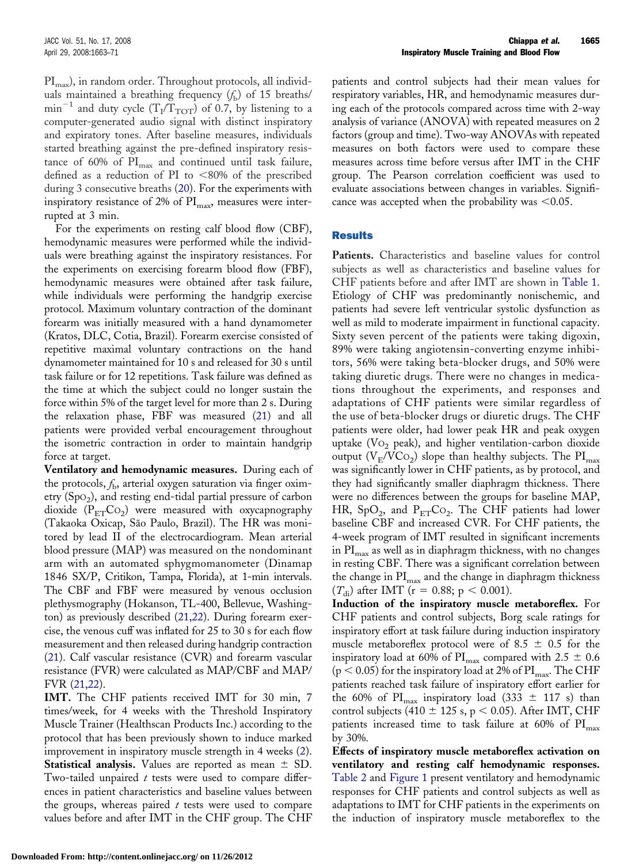$\text{PI}_{\text{max}}$ ), in random order. Throughout protocols, all individuals maintained a breathing frequency  $(f<sub>b</sub>)$  of 15 breaths/  $min^{-1}$  and duty cycle (T<sub>I</sub>/T<sub>TOT</sub>) of 0.7, by listening to a computer-generated audio signal with distinct inspiratory and expiratory tones. After baseline measures, individuals started breathing against the pre-defined inspiratory resistance of 60% of  $PI_{\text{max}}$  and continued until task failure, defined as a reduction of PI to  $< 80\%$  of the prescribed during 3 consecutive breaths ([20\)](#page-7-0). For the experiments with inspiratory resistance of 2% of  $\text{PI}_{\text{max}}$ , measures were interrupted at 3 min.

For the experiments on resting calf blood flow (CBF), hemodynamic measures were performed while the individuals were breathing against the inspiratory resistances. For the experiments on exercising forearm blood flow (FBF), hemodynamic measures were obtained after task failure, while individuals were performing the handgrip exercise protocol. Maximum voluntary contraction of the dominant forearm was initially measured with a hand dynamometer (Kratos, DLC, Cotia, Brazil). Forearm exercise consisted of repetitive maximal voluntary contractions on the hand dynamometer maintained for 10 s and released for 30 s until task failure or for 12 repetitions. Task failure was defined as the time at which the subject could no longer sustain the force within 5% of the target level for more than 2 s. During the relaxation phase, FBF was measured ([21\)](#page-7-0) and all patients were provided verbal encouragement throughout the isometric contraction in order to maintain handgrip force at target.

**Ventilatory and hemodynamic measures.** During each of the protocols,  $f<sub>b</sub>$ , arterial oxygen saturation via finger oximetry  $(Spo<sub>2</sub>)$ , and resting end-tidal partial pressure of carbon dioxide  $(P_{ET}Co_2)$  were measured with oxycapnography (Takaoka Oxicap, São Paulo, Brazil). The HR was monitored by lead II of the electrocardiogram. Mean arterial blood pressure (MAP) was measured on the nondominant arm with an automated sphygmomanometer (Dinamap 1846 SX/P, Critikon, Tampa, Florida), at 1-min intervals. The CBF and FBF were measured by venous occlusion plethysmography (Hokanson, TL-400, Bellevue, Washington) as previously described ([21,22\)](#page-7-0). During forearm exercise, the venous cuff was inflated for 25 to 30 s for each flow measurement and then released during handgrip contraction ([21\)](#page-7-0). Calf vascular resistance (CVR) and forearm vascular resistance (FVR) were calculated as MAP/CBF and MAP/ FVR [\(21,22\)](#page-7-0).

**IMT.** The CHF patients received IMT for 30 min, 7 times/week, for 4 weeks with the Threshold Inspiratory Muscle Trainer (Healthscan Products Inc.) according to the protocol that has been previously shown to induce marked improvement in inspiratory muscle strength in 4 weeks ([2\)](#page-7-0). **Statistical analysis.** Values are reported as mean  $\pm$  SD. Two-tailed unpaired *t* tests were used to compare differences in patient characteristics and baseline values between the groups, whereas paired *t* tests were used to compare values before and after IMT in the CHF group. The CHF patients and control subjects had their mean values for respiratory variables, HR, and hemodynamic measures during each of the protocols compared across time with 2-way analysis of variance (ANOVA) with repeated measures on 2 factors (group and time). Two-way ANOVAs with repeated measures on both factors were used to compare these measures across time before versus after IMT in the CHF group. The Pearson correlation coefficient was used to evaluate associations between changes in variables. Significance was accepted when the probability was  $\leq 0.05$ .

#### **Results**

Patients. Characteristics and baseline values for control subjects as well as characteristics and baseline values for CHF patients before and after IMT are shown in [Table 1.](#page-3-0) Etiology of CHF was predominantly nonischemic, and patients had severe left ventricular systolic dysfunction as well as mild to moderate impairment in functional capacity. Sixty seven percent of the patients were taking digoxin, 89% were taking angiotensin-converting enzyme inhibitors, 56% were taking beta-blocker drugs, and 50% were taking diuretic drugs. There were no changes in medications throughout the experiments, and responses and adaptations of CHF patients were similar regardless of the use of beta-blocker drugs or diuretic drugs. The CHF patients were older, had lower peak HR and peak oxygen uptake ( $Vo_2$  peak), and higher ventilation-carbon dioxide output ( $V_E/VCo_2$ ) slope than healthy subjects. The PI<sub>max</sub> was significantly lower in CHF patients, as by protocol, and they had significantly smaller diaphragm thickness. There were no differences between the groups for baseline MAP, HR, SpO<sub>2</sub>, and  $P_{ET}CO_2$ . The CHF patients had lower baseline CBF and increased CVR. For CHF patients, the 4-week program of IMT resulted in significant increments in  $PI<sub>max</sub>$  as well as in diaphragm thickness, with no changes in resting CBF. There was a significant correlation between the change in  $\text{PI}_{\text{max}}$  and the change in diaphragm thickness  $(T_{di})$  after IMT (r = 0.88; p < 0.001).

**Induction of the inspiratory muscle metaboreflex.** For CHF patients and control subjects, Borg scale ratings for inspiratory effort at task failure during induction inspiratory muscle metaboreflex protocol were of 8.5  $\pm$  0.5 for the inspiratory load at 60% of  $\text{PI}_{\text{max}}$  compared with 2.5  $\pm$  0.6  $(p < 0.05)$  for the inspiratory load at 2% of PI<sub>max</sub>. The CHF patients reached task failure of inspiratory effort earlier for the 60% of  $\text{PI}_{\text{max}}$  inspiratory load (333  $\pm$  117 s) than control subjects (410  $\pm$  125 s, p < 0.05). After IMT, CHF patients increased time to task failure at 60% of  $\text{PI}_{\text{max}}$ by 30%.

**Effects of inspiratory muscle metaboreflex activation on ventilatory and resting calf hemodynamic responses.** [Table 2](#page-4-0) and [Figure 1](#page-5-0) present ventilatory and hemodynamic responses for CHF patients and control subjects as well as adaptations to IMT for CHF patients in the experiments on the induction of inspiratory muscle metaboreflex to the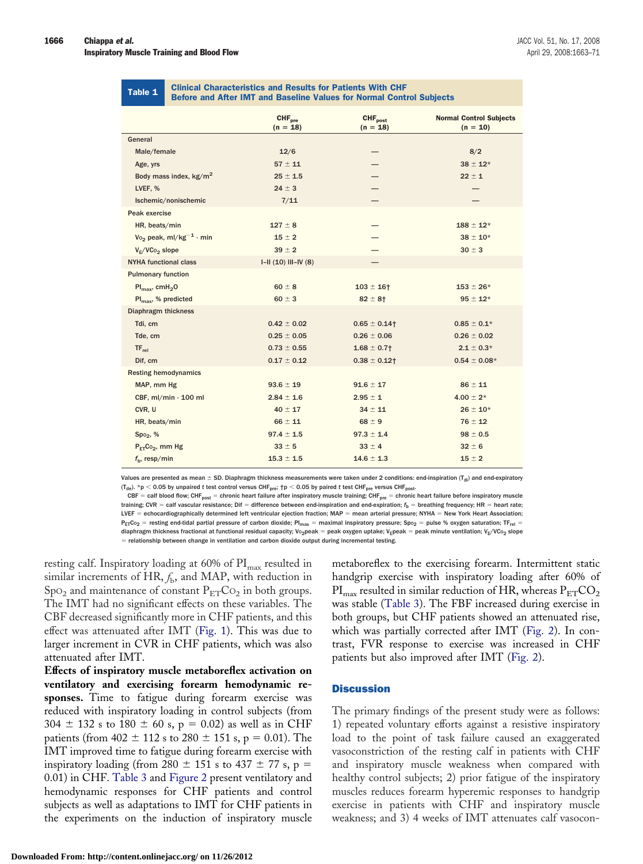<span id="page-3-0"></span>

|  |  | Table 1 |
|--|--|---------|

#### **Clinical Characteristics and Results for Patients With CHF** Before and After IMT and Baseline Values for Normal Control Subjects

|                                                | <b>CHF</b> <sub>pre</sub><br>$(n = 18)$ | <b>CHF</b> post<br>$(n = 18)$ | <b>Normal Control Subjects</b><br>$(n = 10)$ |
|------------------------------------------------|-----------------------------------------|-------------------------------|----------------------------------------------|
| General                                        |                                         |                               |                                              |
| Male/female                                    | 12/6                                    |                               | 8/2                                          |
| Age, yrs                                       | $57 \pm 11$                             |                               | $38 \pm 12*$                                 |
| Body mass index, kg/m <sup>2</sup>             | $25 \pm 1.5$                            |                               | $22 \pm 1$                                   |
| LVEF, %                                        | $24 \pm 3$                              |                               |                                              |
| Ischemic/nonischemic                           | 7/11                                    |                               |                                              |
| Peak exercise                                  |                                         |                               |                                              |
| HR, beats/min                                  | $127 \pm 8$                             |                               | $188 \pm 12*$                                |
| V <sub>o</sub> peak, ml/kg <sup>-1</sup> · min | $15 \pm 2$                              |                               | $38 \pm 10^{*}$                              |
| $V_F/VCo_2$ slope                              | $39 \pm 2$                              |                               | $30 \pm 3$                                   |
| <b>NYHA functional class</b>                   | $I-II (10) III-IV (8)$                  |                               |                                              |
| <b>Pulmonary function</b>                      |                                         |                               |                                              |
| $Pl_{\text{max}}$ , cmH <sub>2</sub> O         | $60 \pm 8$                              | $103 \pm 16$ †                | $153 \pm 26*$                                |
| $Pl_{\text{max}}$ , % predicted                | $60 \pm 3$                              | $82 \pm 8$ †                  | $95 \pm 12*$                                 |
| <b>Diaphragm thickness</b>                     |                                         |                               |                                              |
| Tdi, cm                                        | $0.42 \pm 0.02$                         | $0.65 \pm 0.14$ †             | $0.85 \pm 0.1*$                              |
| Tde, cm                                        | $0.25 \pm 0.05$                         | $0.26 \pm 0.06$               | $0.26 \pm 0.02$                              |
| $TF_{rel}$                                     | $0.73 \pm 0.55$                         | $1.68 \pm 0.7$ †              | $2.1 \pm 0.3*$                               |
| Dif, cm                                        | $0.17 \pm 0.12$                         | $0.38 \pm 0.12$ †             | $0.54 \pm 0.08*$                             |
| <b>Resting hemodynamics</b>                    |                                         |                               |                                              |
| MAP, mm Hg                                     | $93.6 \pm 19$                           | $91.6 \pm 17$                 | $86 \pm 11$                                  |
| CBF, ml/min · 100 ml                           | $2.84 \pm 1.6$                          | $2.95 \pm 1$                  | $4.00 \pm 2^{*}$                             |
| CVR, U                                         | $40 \pm 17$                             | $34 \pm 11$                   | $26 \pm 10^{*}$                              |
| HR, beats/min                                  | $66 \pm 11$                             | $68 \pm 9$                    | $76 \pm 12$                                  |
| Spo <sub>2</sub> , %                           | $97.4 \pm 1.5$                          | $97.3 \pm 1.4$                | $98 \pm 0.5$                                 |
| $P_{FT}Co_2$ , mm Hg                           | $33 \pm 5$                              | $33 \pm 4$                    | $32 \pm 6$                                   |
| $fb$ , resp/min                                | $15.3 \pm 1.5$                          | $14.6 \pm 1.3$                | $15 \pm 2$                                   |

Values are presented as mean  $\pm$  SD. Diaphragm thickness measurements were taken under 2 conditions: end-inspiration (T<sub>di</sub>) and end-expiratory  $(T_{de})$ . \*p < 0.05 by unpaired *t* test control versus CHF<sub>pre</sub>;  $\uparrow p$  < 0.05 by paired *t* test CHF<sub>pre</sub> versus CHF<sub>post</sub>.

CBF = calf blood flow; CHF<sub>post</sub> = chronic heart failure after inspiratory muscle training; CHF<sub>pre</sub> = chronic heart failure before inspiratory muscle training; CVR = calf vascular resistance; Dif = difference between end-inspiration and end-expiration;  $f_{\sf b}$  = breathing frequency; HR = heart rate; LVEF = echocardiographically determined left ventricular ejection fraction; MAP = mean arterial pressure; NYHA = New York Heart Association;  $P_{ET}C_{02}$  = resting end-tidal partial pressure of carbon dioxide; PI<sub>max</sub> = maximal inspiratory pressure; Spo<sub>2</sub> = pulse % oxygen saturation; TF<sub>rel</sub> = diaphragm thickness fractional at functional residual capacity; Vo<sub>2</sub>peak = peak oxygen uptake; V<sub>E</sub>peak = peak minute ventilation; V<sub>E</sub>/VCo<sub>2</sub> slope  $=$  relationship between change in ventilation and carbon dioxide output during incremental testing.

resting calf. Inspiratory loading at 60% of  $\text{PI}_{\text{max}}$  resulted in similar increments of HR,  $f<sub>b</sub>$ , and MAP, with reduction in  $SpO<sub>2</sub>$  and maintenance of constant  $P<sub>ET</sub>CO<sub>2</sub>$  in both groups. The IMT had no significant effects on these variables. The CBF decreased significantly more in CHF patients, and this effect was attenuated after IMT [\(Fig. 1\)](#page-5-0). This was due to larger increment in CVR in CHF patients, which was also attenuated after IMT.

**Effects of inspiratory muscle metaboreflex activation on ventilatory and exercising forearm hemodynamic responses.** Time to fatigue during forearm exercise was reduced with inspiratory loading in control subjects (from  $304 \pm 132$  s to  $180 \pm 60$  s, p = 0.02) as well as in CHF patients (from 402  $\pm$  112 s to 280  $\pm$  151 s, p = 0.01). The IMT improved time to fatigue during forearm exercise with inspiratory loading (from 280  $\pm$  151 s to 437  $\pm$  77 s, p = 0.01) in CHF. [Table 3](#page-6-0) and [Figure 2](#page-7-0) present ventilatory and hemodynamic responses for CHF patients and control subjects as well as adaptations to IMT for CHF patients in the experiments on the induction of inspiratory muscle metaboreflex to the exercising forearm. Intermittent static handgrip exercise with inspiratory loading after 60% of  $\text{PI}_{\text{max}}$  resulted in similar reduction of HR, whereas  $\text{P}_{\text{ET}}\text{CO}_2$ was stable ([Table 3\)](#page-6-0). The FBF increased during exercise in both groups, but CHF patients showed an attenuated rise, which was partially corrected after IMT ([Fig. 2\)](#page-7-0). In contrast, FVR response to exercise was increased in CHF patients but also improved after IMT [\(Fig. 2\)](#page-7-0).

#### **Discussion**

The primary findings of the present study were as follows: 1) repeated voluntary efforts against a resistive inspiratory load to the point of task failure caused an exaggerated vasoconstriction of the resting calf in patients with CHF and inspiratory muscle weakness when compared with healthy control subjects; 2) prior fatigue of the inspiratory muscles reduces forearm hyperemic responses to handgrip exercise in patients with CHF and inspiratory muscle weakness; and 3) 4 weeks of IMT attenuates calf vasocon-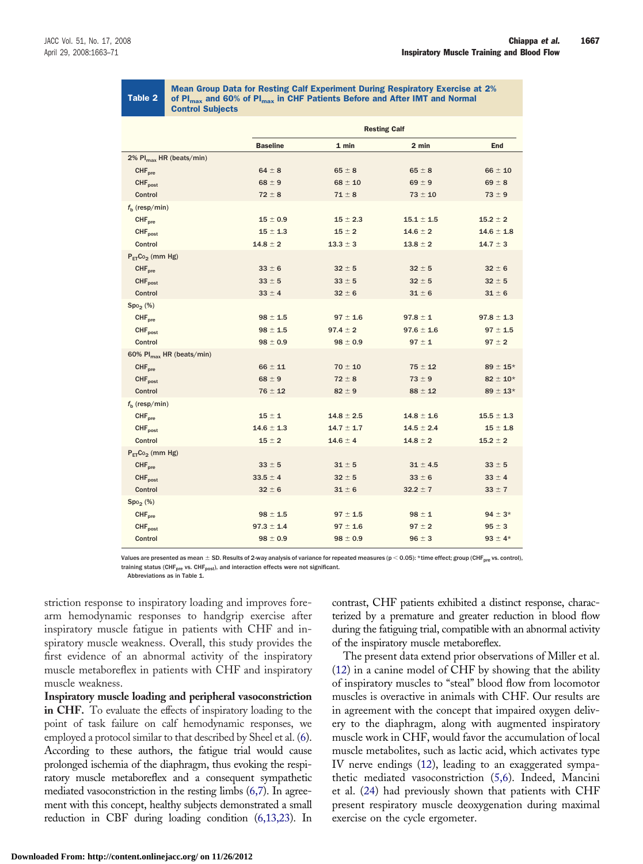## Table 2

Mean Group Data for Resting Calf Experiment During Respiratory Exercise at 2% of  $PI_{max}$  and 60% of  $PI_{max}$  in CHF Patients Before and After IMT and Normal Control Subjects

<span id="page-4-0"></span>Mean Group Data for Resting Calf Experiment During Respiratory Exercise at 2% of PImax and 60% of PImax Control Subjects in CHF Patients Before and After IMT and Normal

| <b>Resting Calf</b> |                |                |                 |
|---------------------|----------------|----------------|-----------------|
| <b>Baseline</b>     | 1 min          | 2 min          | <b>End</b>      |
|                     |                |                |                 |
| $64 \pm 8$          | $65 \pm 8$     | $65 \pm 8$     | $66 \pm 10$     |
| $68 \pm 9$          | $68 \pm 10$    | $69 \pm 9$     | $69 \pm 8$      |
| $72 \pm 8$          | $71 \pm 8$     | $73 \pm 10$    | $73 \pm 9$      |
|                     |                |                |                 |
| $15 \pm 0.9$        | $15 \pm 2.3$   | $15.1 \pm 1.5$ | $15.2 \pm 2$    |
| $15 \pm 1.3$        | $15 \pm 2$     | $14.6 \pm 2$   | $14.6 \pm 1.8$  |
| $14.8 \pm 2$        | $13.3 \pm 3$   | $13.8 \pm 2$   | $14.7 \pm 3$    |
|                     |                |                |                 |
| $33 \pm 6$          | $32 \pm 5$     | $32 \pm 5$     | $32 \pm 6$      |
| $33 \pm 5$          | $33 \pm 5$     | $32 \pm 5$     | $32 \pm 5$      |
| $33 \pm 4$          | $32 \pm 6$     | $31 \pm 6$     | $31 \pm 6$      |
|                     |                |                |                 |
| $98 \pm 1.5$        | $97 \pm 1.6$   | $97.8 \pm 1$   | $97.8 \pm 1.3$  |
| $98 \pm 1.5$        | $97.4 \pm 2$   | $97.6 \pm 1.6$ | $97 \pm 1.5$    |
| $98 \pm 0.9$        | $98 \pm 0.9$   | $97 \pm 1$     | $97 \pm 2$      |
|                     |                |                |                 |
| $66 \pm 11$         | $70 \pm 10$    | $75 \pm 12$    | $89 \pm 15*$    |
| $68 \pm 9$          | $72 \pm 8$     | $73 \pm 9$     | $82 \pm 10^{*}$ |
| $76 \pm 12$         | $82 \pm 9$     | $88 \pm 12$    | $89 \pm 13*$    |
|                     |                |                |                 |
| $15 \pm 1$          | $14.8 \pm 2.5$ | $14.8 \pm 1.6$ | $15.5 \pm 1.3$  |
| $14.6 \pm 1.3$      | $14.7 \pm 1.7$ | $14.5 \pm 2.4$ | $15 \pm 1.8$    |
| $15 \pm 2$          | $14.6 \pm 4$   | $14.8 \pm 2$   | $15.2 \pm 2$    |
|                     |                |                |                 |
| $33 \pm 5$          | $31 \pm 5$     | $31 \pm 4.5$   | $33 \pm 5$      |
| $33.5 \pm 4$        | $32 \pm 5$     | $33 \pm 6$     | $33 \pm 4$      |
| $32 \pm 6$          | $31 \pm 6$     | $32.2 \pm 7$   | $33 \pm 7$      |
|                     |                |                |                 |
| $98 \pm 1.5$        | $97 \pm 1.5$   | $98 \pm 1$     | $94 \pm 3*$     |
| $97.3 \pm 1.4$      | $97 \pm 1.6$   | $97 \pm 2$     | $95 \pm 3$      |
| $98 \pm 0.9$        | $98 \pm 0.9$   | $96 \pm 3$     | $93 \pm 4*$     |
|                     |                |                |                 |

Values are presented as mean  $\pm$  SD. Results of 2-way analysis of variance for repeated measures (p < 0.05): \*time effect; group (CHF<sub>pre</sub> vs. control), training status (CHF<sub>pre</sub> vs. CHF<sub>post</sub>), and interaction effects were not significant.

Abbreviations as in Table 1.

striction response to inspiratory loading and improves forearm hemodynamic responses to handgrip exercise after inspiratory muscle fatigue in patients with CHF and inspiratory muscle weakness. Overall, this study provides the first evidence of an abnormal activity of the inspiratory muscle metaboreflex in patients with CHF and inspiratory muscle weakness.

**Inspiratory muscle loading and peripheral vasoconstriction in CHF.** To evaluate the effects of inspiratory loading to the point of task failure on calf hemodynamic responses, we employed a protocol similar to that described by Sheel et al. [\(6\)](#page-7-0). According to these authors, the fatigue trial would cause prolonged ischemia of the diaphragm, thus evoking the respiratory muscle metaboreflex and a consequent sympathetic mediated vasoconstriction in the resting limbs ([6,7\)](#page-7-0). In agreement with this concept, healthy subjects demonstrated a small reduction in CBF during loading condition [\(6,13,23\)](#page-7-0). In contrast, CHF patients exhibited a distinct response, characterized by a premature and greater reduction in blood flow during the fatiguing trial, compatible with an abnormal activity of the inspiratory muscle metaboreflex.

The present data extend prior observations of Miller et al. ([12\)](#page-7-0) in a canine model of CHF by showing that the ability of inspiratory muscles to "steal" blood flow from locomotor muscles is overactive in animals with CHF. Our results are in agreement with the concept that impaired oxygen delivery to the diaphragm, along with augmented inspiratory muscle work in CHF, would favor the accumulation of local muscle metabolites, such as lactic acid, which activates type IV nerve endings [\(12\)](#page-7-0), leading to an exaggerated sympathetic mediated vasoconstriction [\(5,6\)](#page-7-0). Indeed, Mancini et al. [\(24\)](#page-8-0) had previously shown that patients with CHF present respiratory muscle deoxygenation during maximal exercise on the cycle ergometer.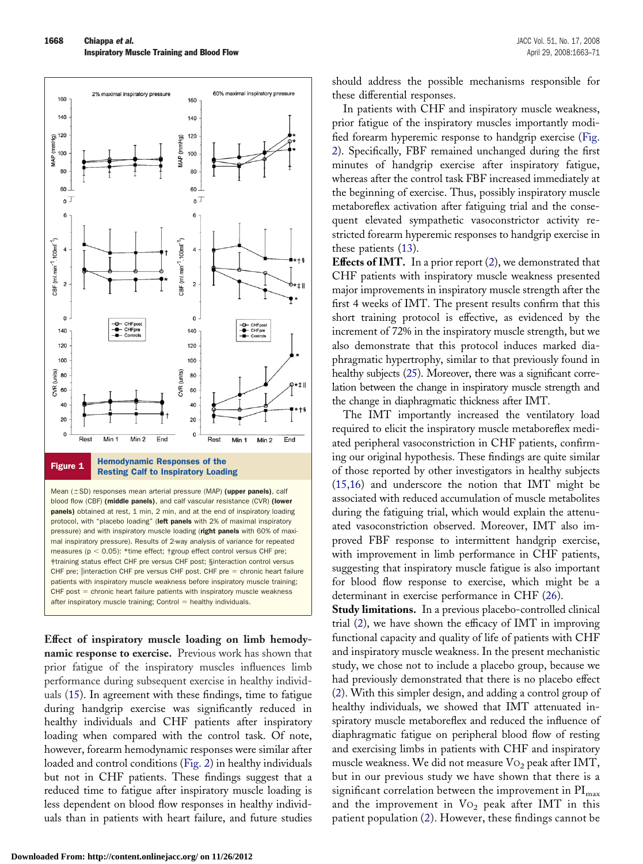<span id="page-5-0"></span>

Resting Calf to Inspiratory Loading

Mean  $(\pm SD)$  responses mean arterial pressure (MAP) (upper panels), calf blood flow (CBF) (middle panels), and calf vascular resistance (CVR) (lower panels) obtained at rest, 1 min, 2 min, and at the end of inspiratory loading protocol, with "placebo loading" (left panels with 2% of maximal inspiratory pressure) and with inspiratory muscle loading (right panels with 60% of maximal inspiratory pressure). Results of 2-way analysis of variance for repeated measures ( $p < 0.05$ ): \*time effect; †group effect control versus CHF pre; ‡training status effect CHF pre versus CHF post; §interaction control versus CHF pre; ||interaction CHF pre versus CHF post. CHF pre = chronic heart failure patients with inspiratory muscle weakness before inspiratory muscle training; CHF post = chronic heart failure patients with inspiratory muscle weakness  $after$  inspiratory muscle training; Control  $=$  healthy individuals.

**Effect of inspiratory muscle loading on limb hemodynamic response to exercise.** Previous work has shown that prior fatigue of the inspiratory muscles influences limb performance during subsequent exercise in healthy individuals [\(15\)](#page-7-0). In agreement with these findings, time to fatigue during handgrip exercise was significantly reduced in healthy individuals and CHF patients after inspiratory loading when compared with the control task. Of note, however, forearm hemodynamic responses were similar after loaded and control conditions ([Fig. 2\)](#page-7-0) in healthy individuals but not in CHF patients. These findings suggest that a reduced time to fatigue after inspiratory muscle loading is less dependent on blood flow responses in healthy individuals than in patients with heart failure, and future studies

prior fatigue of the inspiratory muscles importantly modified forearm hyperemic response to handgrip exercise ([Fig.](#page-7-0) [2\)](#page-7-0). Specifically, FBF remained unchanged during the first minutes of handgrip exercise after inspiratory fatigue, whereas after the control task FBF increased immediately at the beginning of exercise. Thus, possibly inspiratory muscle metaboreflex activation after fatiguing trial and the consequent elevated sympathetic vasoconstrictor activity restricted forearm hyperemic responses to handgrip exercise in these patients ([13\)](#page-7-0).

should address the possible mechanisms responsible for

these differential responses.

**Effects of IMT.** In a prior report [\(2\)](#page-7-0), we demonstrated that CHF patients with inspiratory muscle weakness presented major improvements in inspiratory muscle strength after the first 4 weeks of IMT. The present results confirm that this short training protocol is effective, as evidenced by the increment of 72% in the inspiratory muscle strength, but we also demonstrate that this protocol induces marked diaphragmatic hypertrophy, similar to that previously found in healthy subjects [\(25\)](#page-8-0). Moreover, there was a significant correlation between the change in inspiratory muscle strength and the change in diaphragmatic thickness after IMT.

The IMT importantly increased the ventilatory load required to elicit the inspiratory muscle metaboreflex mediated peripheral vasoconstriction in CHF patients, confirming our original hypothesis. These findings are quite similar of those reported by other investigators in healthy subjects ([15,16\)](#page-7-0) and underscore the notion that IMT might be associated with reduced accumulation of muscle metabolites during the fatiguing trial, which would explain the attenuated vasoconstriction observed. Moreover, IMT also improved FBF response to intermittent handgrip exercise, with improvement in limb performance in CHF patients, suggesting that inspiratory muscle fatigue is also important for blood flow response to exercise, which might be a determinant in exercise performance in CHF [\(26\)](#page-8-0).

**Study limitations.** In a previous placebo-controlled clinical trial ([2\)](#page-7-0), we have shown the efficacy of IMT in improving functional capacity and quality of life of patients with CHF and inspiratory muscle weakness. In the present mechanistic study, we chose not to include a placebo group, because we had previously demonstrated that there is no placebo effect ([2\)](#page-7-0). With this simpler design, and adding a control group of healthy individuals, we showed that IMT attenuated inspiratory muscle metaboreflex and reduced the influence of diaphragmatic fatigue on peripheral blood flow of resting and exercising limbs in patients with CHF and inspiratory muscle weakness. We did not measure  $\mathrm{Vo}_2$  peak after IMT, but in our previous study we have shown that there is a significant correlation between the improvement in  $PI_{max}$ and the improvement in  $Vo_2$  peak after IMT in this patient population ([2\)](#page-7-0). However, these findings cannot be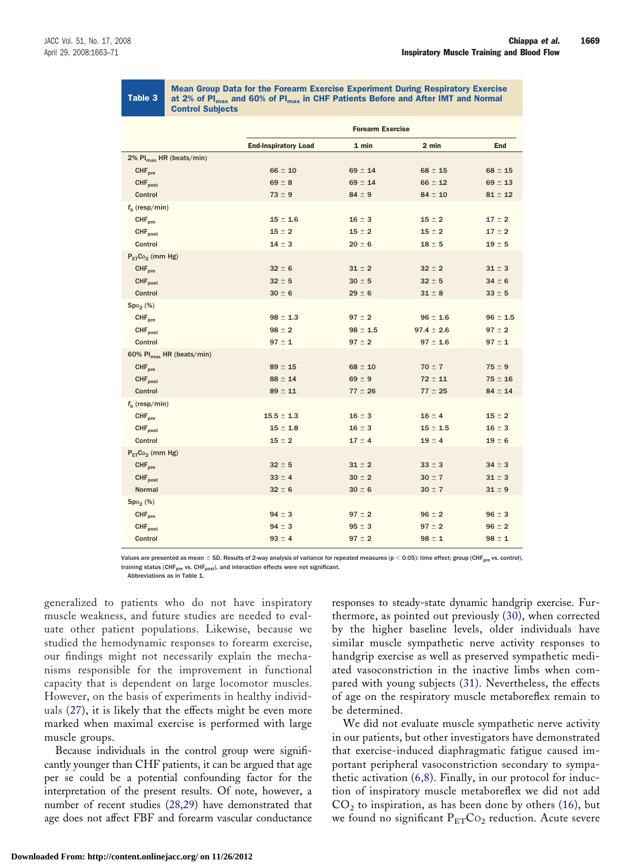### Table 3

Mean Group Data for the Forearm Exercise Experiment During Respiratory Exercise at 2% of  $PI_{max}$  and 60% of  $PI_{max}$  in CHF Patients Before and After IMT and Normal Control Subjects

<span id="page-6-0"></span>Mean Group Data for the Forearm Exercise Experiment During Respiratory Exercise at 2% of PImax and 60% of PImax Control Subjects in CHF Patients Before and After IMT and Normal

|                                      | <b>Forearm Exercise</b>     |              |                |              |
|--------------------------------------|-----------------------------|--------------|----------------|--------------|
|                                      | <b>End-Inspiratory Load</b> | 1 min        | 2 min          | <b>End</b>   |
| 2% Pl <sub>max</sub> HR (beats/min)  |                             |              |                |              |
| CHF <sub>pre</sub>                   | $66 \pm 10$                 | $69 \pm 14$  | $68 \pm 15$    | $68 \pm 15$  |
| CHF <sub>post</sub>                  | $69 \pm 8$                  | $69 \pm 14$  | $66 \pm 12$    | $69 \pm 13$  |
| Control                              | $73 \pm 9$                  | $84 \pm 9$   | $84 \pm 10$    | $81 \pm 12$  |
| $fh$ (resp/min)                      |                             |              |                |              |
| CHF <sub>pre</sub>                   | $15 \pm 1.6$                | $16 \pm 3$   | $15 \pm 2$     | $17 \pm 2$   |
| CHF <sub>nost</sub>                  | $15 \pm 2$                  | $15 \pm 2$   | $15 \pm 2$     | $17 \pm 2$   |
| Control                              | $14 \pm 3$                  | $20 \pm 6$   | $18 \pm 5$     | $19 \pm 5$   |
| $P_{ET}Co_2$ (mm Hg)                 |                             |              |                |              |
| CHF <sub>pre</sub>                   | $32 \pm 6$                  | $31 \pm 2$   | $32 \pm 2$     | $31 \pm 3$   |
| CHF <sub>post</sub>                  | $32 \pm 5$                  | $30 \pm 5$   | $32 \pm 5$     | $34 \pm 6$   |
| Control                              | $30 \pm 6$                  | $29 \pm 6$   | $31 \pm 8$     | $33 \pm 5$   |
| Spo <sub>2</sub> (%)                 |                             |              |                |              |
| CHF <sub>pre</sub>                   | $98 \pm 1.3$                | $97 \pm 2$   | $96 \pm 1.6$   | $96 \pm 1.5$ |
| CHF <sub>post</sub>                  | $98 \pm 2$                  | $98 \pm 1.5$ | $97.4 \pm 2.6$ | $97 \pm 2$   |
| Control                              | $97 \pm 1$                  | $97 \pm 2$   | $97 \pm 1.6$   | $97 \pm 1$   |
| 60% Pl <sub>max</sub> HR (beats/min) |                             |              |                |              |
| CHF <sub>pre</sub>                   | $89 \pm 15$                 | $68 \pm 10$  | $70 \pm 7$     | $75 \pm 9$   |
| CHF <sub>post</sub>                  | $88 \pm 14$                 | $69 \pm 9$   | $72 \pm 11$    | $75 \pm 16$  |
| Control                              | $89 \pm 11$                 | $77 \pm 26$  | $77 \pm 25$    | $84 \pm 14$  |
| $fb$ (resp/min)                      |                             |              |                |              |
| CHF <sub>pre</sub>                   | $15.5 \pm 1.3$              | $16 \pm 3$   | $16 \pm 4$     | $15 \pm 2$   |
| CHF <sub>post</sub>                  | $15 \pm 1.8$                | $16 \pm 3$   | $15 \pm 1.5$   | $16 \pm 3$   |
| Control                              | $15 \pm 2$                  | $17 \pm 4$   | $19 \pm 4$     | $19 \pm 6$   |
| $P_{ET}Co_2$ (mm Hg)                 |                             |              |                |              |
| CHF <sub>pre</sub>                   | $32 \pm 5$                  | $31 \pm 2$   | $33 \pm 3$     | $34 \pm 3$   |
| CHF <sub>post</sub>                  | $33 \pm 4$                  | $30 \pm 2$   | $30 \pm 7$     | $31 \pm 3$   |
| <b>Normal</b>                        | $32 \pm 6$                  | $30 \pm 6$   | $30 \pm 7$     | $31 \pm 9$   |
| Spo <sub>2</sub> (%)                 |                             |              |                |              |
| CHF <sub>pre</sub>                   | $94 \pm 3$                  | $97 \pm 2$   | $96 \pm 2$     | $96 \pm 3$   |
| CHF <sub>post</sub>                  | $94 \pm 3$                  | $95 \pm 3$   | $97 \pm 2$     | $96 \pm 2$   |
| Control                              | $93 \pm 4$                  | $97 \pm 2$   | $98 \pm 1$     | $98 \pm 1$   |

Values are presented as mean  $\pm$  SD. Results of 2-way analysis of variance for repeated measures ( $p < 0.05$ ): time effect; group (CHF<sub>pre</sub> vs. control), training status (CHF<sub>pre</sub> vs. CHF<sub>post</sub>), and interaction effects were not significant.

Abbreviations as in Table 1.

generalized to patients who do not have inspiratory muscle weakness, and future studies are needed to evaluate other patient populations. Likewise, because we studied the hemodynamic responses to forearm exercise, our findings might not necessarily explain the mechanisms responsible for the improvement in functional capacity that is dependent on large locomotor muscles. However, on the basis of experiments in healthy individuals ([27\)](#page-8-0), it is likely that the effects might be even more marked when maximal exercise is performed with large muscle groups.

Because individuals in the control group were significantly younger than CHF patients, it can be argued that age per se could be a potential confounding factor for the interpretation of the present results. Of note, however, a number of recent studies ([28,29\)](#page-8-0) have demonstrated that age does not affect FBF and forearm vascular conductance responses to steady-state dynamic handgrip exercise. Furthermore, as pointed out previously ([30\)](#page-8-0), when corrected by the higher baseline levels, older individuals have similar muscle sympathetic nerve activity responses to handgrip exercise as well as preserved sympathetic mediated vasoconstriction in the inactive limbs when compared with young subjects [\(31\)](#page-8-0). Nevertheless, the effects of age on the respiratory muscle metaboreflex remain to be determined.

We did not evaluate muscle sympathetic nerve activity in our patients, but other investigators have demonstrated that exercise-induced diaphragmatic fatigue caused important peripheral vasoconstriction secondary to sympathetic activation ([6,8\)](#page-7-0). Finally, in our protocol for induction of inspiratory muscle metaboreflex we did not add  $CO<sub>2</sub>$  to inspiration, as has been done by others [\(16\)](#page-7-0), but we found no significant  $P_{ET}Co_2$  reduction. Acute severe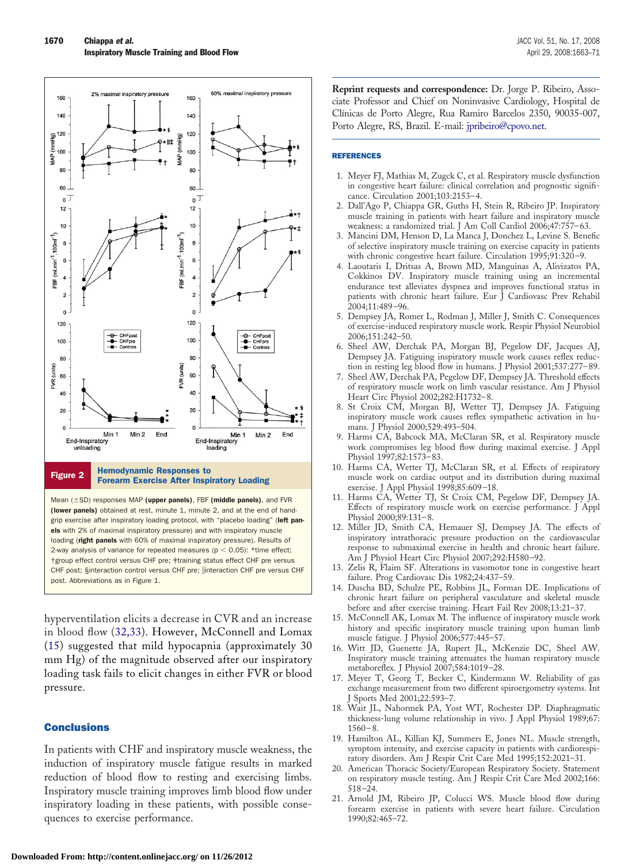<span id="page-7-0"></span>

loading (right panels with 60% of maximal inspiratory pressure). Results of 2-way analysis of variance for repeated measures ( $p < 0.05$ ): \*time effect; †group effect control versus CHF pre; ‡training status effect CHF pre versus CHF post; §interaction control versus CHF pre; ||interaction CHF pre versus CHF post. Abbreviations as in Figure 1.

hyperventilation elicits a decrease in CVR and an increase in blood flow ([32,33\)](#page-8-0). However, McConnell and Lomax (15) suggested that mild hypocapnia (approximately 30 mm Hg) of the magnitude observed after our inspiratory loading task fails to elicit changes in either FVR or blood pressure.

#### **Conclusions**

In patients with CHF and inspiratory muscle weakness, the induction of inspiratory muscle fatigue results in marked reduction of blood flow to resting and exercising limbs. Inspiratory muscle training improves limb blood flow under inspiratory loading in these patients, with possible consequences to exercise performance.

**Reprint requests and correspondence:** Dr. Jorge P. Ribeiro, Associate Professor and Chief on Noninvasive Cardiology, Hospital de Clínicas de Porto Alegre, Rua Ramiro Barcelos 2350, 90035-007, Porto Alegre, RS, Brazil. E-mail: [jpribeiro@cpovo.net.](mailto: jpribeiro@cpovo.net)

#### REFERENCES

- 1. Meyer FJ, Mathias M, Zugck C, et al. Respiratory muscle dysfunction in congestive heart failure: clinical correlation and prognostic significance. Circulation 2001;103:2153–4.
- 2. Dall'Ago P, Chiappa GR, Guths H, Stein R, Ribeiro JP. Inspiratory muscle training in patients with heart failure and inspiratory muscle weakness: a randomized trial. J Am Coll Cardiol 2006;47:757–63.
- 3. Mancini DM, Henson D, La Manca J, Donchez L, Levine S. Benefic of selective inspiratory muscle training on exercise capacity in patients with chronic congestive heart failure. Circulation 1995;91:320–9.
- 4. Laoutaris I, Dritsas A, Brown MD, Manguinas A, Alivizatos PA, Cokkinos DV. Inspiratory muscle training using an incremental endurance test alleviates dyspnea and improves functional status in patients with chronic heart failure. Eur J Cardiovasc Prev Rehabil 2004;11:489–96.
- 5. Dempsey JA, Romer L, Rodman J, Miller J, Smith C. Consequences of exercise-induced respiratory muscle work. Respir Physiol Neurobiol 2006;151:242–50.
- 6. Sheel AW, Derchak PA, Morgan BJ, Pegelow DF, Jacques AJ, Dempsey JA. Fatiguing inspiratory muscle work causes reflex reduction in resting leg blood flow in humans. J Physiol 2001;537:277–89.
- 7. Sheel AW, Derchak PA, Pegelow DF, Dempsey JA. Threshold effects of respiratory muscle work on limb vascular resistance. Am J Physiol Heart Circ Physiol 2002;282:H1732–8.
- 8. St Croix CM, Morgan BJ, Wetter TJ, Dempsey JA. Fatiguing inspiratory muscle work causes reflex sympathetic activation in humans. J Physiol 2000;529:493–504.
- 9. Harms CA, Babcock MA, McClaran SR, et al. Respiratory muscle work compromises leg blood flow during maximal exercise. J Appl Physiol 1997;82:1573–83.
- 10. Harms CA, Wetter TJ, McClaran SR, et al. Effects of respiratory muscle work on cardiac output and its distribution during maximal exercise. J Appl Physiol 1998;85:609–18.
- 11. Harms CA, Wetter TJ, St Croix CM, Pegelow DF, Dempsey JA. Effects of respiratory muscle work on exercise performance. J Appl Physiol 2000;89:131–8.
- 12. Miller JD, Smith CA, Hemauer SJ, Dempsey JA. The effects of inspiratory intrathoracic pressure production on the cardiovascular response to submaximal exercise in health and chronic heart failure. Am J Physiol Heart Circ Physiol 2007;292:H580–92.
- 13. Zelis R, Flaim SF. Alterations in vasomotor tone in congestive heart failure. Prog Cardiovasc Dis 1982;24:437–59.
- 14. Duscha BD, Schulze PE, Robbins JL, Forman DE. Implications of chronic heart failure on peripheral vasculature and skeletal muscle before and after exercise training. Heart Fail Rev 2008;13:21–37.
- 15. McConnell AK, Lomax M. The influence of inspiratory muscle work history and specific inspiratory muscle training upon human limb muscle fatigue. J Physiol 2006;577:445–57.
- 16. Witt JD, Guenette JA, Rupert JL, McKenzie DC, Sheel AW. Inspiratory muscle training attenuates the human respiratory muscle metaboreflex. J Physiol 2007;584:1019–28.
- 17. Meyer T, Georg T, Becker C, Kindermann W. Reliability of gas exchange measurement from two different spiroergometry systems. Int J Sports Med 2001;22:593–7.
- 18. Wait JL, Nahormek PA, Yost WT, Rochester DP. Diaphragmatic thickness-lung volume relationship in vivo. J Appl Physiol 1989;67:  $1560 - 8$ .
- 19. Hamilton AL, Killian KJ, Summers E, Jones NL. Muscle strength, symptom intensity, and exercise capacity in patients with cardiorespiratory disorders. Am J Respir Crit Care Med 1995;152:2021–31.
- 20. American Thoracic Society/European Respiratory Society. Statement on respiratory muscle testing. Am J Respir Crit Care Med 2002;166: 518–24.
- 21. Arnold JM, Ribeiro JP, Colucci WS. Muscle blood flow during forearm exercise in patients with severe heart failure. Circulation 1990;82:465–72.